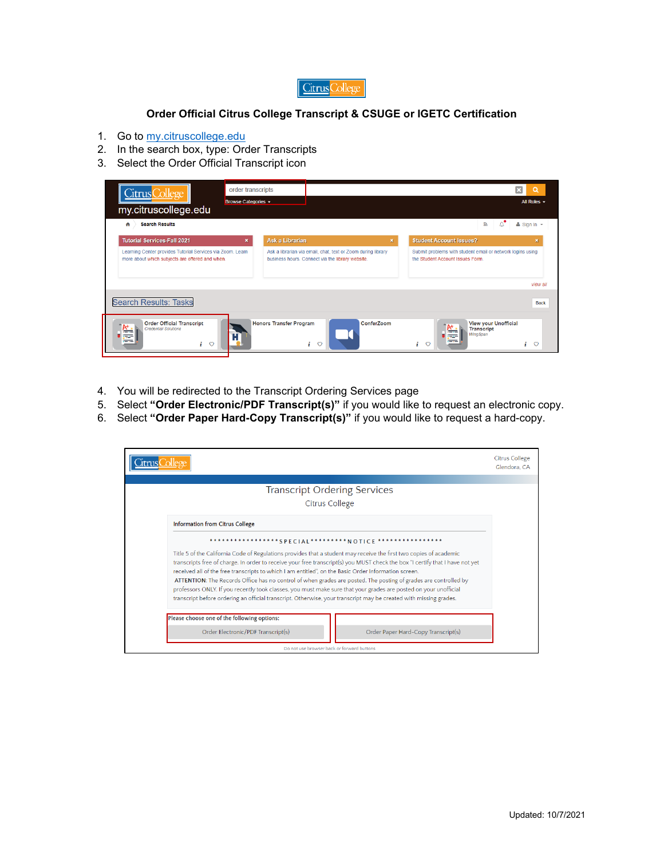

## **Order Official Citrus College Transcript & CSUGE or IGETC Certification**

- 1. Go to my.citruscollege.edu
- 2. In the search box, type: Order Transcripts
- 3. Select the Order Official Transcript icon

| Citrus College<br>my.citruscollege.edu<br><b>Search Results</b><br>₳                                          | order transcripts<br>Browse Categories + |                                |                                                                                                                  |              | All Roles $\sim$<br>У<br>$Sian In -$                                                          |
|---------------------------------------------------------------------------------------------------------------|------------------------------------------|--------------------------------|------------------------------------------------------------------------------------------------------------------|--------------|-----------------------------------------------------------------------------------------------|
| <b>Tutorial Services-Fall 2021</b>                                                                            | $\mathbf{x}$                             | <b>Ask a Librarian</b>         |                                                                                                                  | $\mathbf{x}$ | <b>Student Account Issues?</b><br>×                                                           |
| Learning Center provides Tutorial Services via Zoom. Learn<br>more about which subjects are offered and when. |                                          |                                | Ask a librarian via email, chat, text or Zoom during library<br>business hours. Connect via the library website. |              | Submit problems with student email or network logins using<br>the Student Account Issues Form |
|                                                                                                               |                                          |                                |                                                                                                                  |              | view all                                                                                      |
| <b>Search Results: Tasks</b>                                                                                  |                                          |                                |                                                                                                                  |              | <b>Back</b>                                                                                   |
| <b>Order Official Transcript</b><br><b>Credential Solutions</b><br>i<br>$\circ$                               |                                          | <b>Honors Transfer Program</b> | ConferZoom<br>i<br>$\circ$                                                                                       |              | <b>View your Unofficial</b><br><b>Transcript</b><br>WingSpan<br>$\circ$<br>$\circ$<br>i.<br>1 |

- 4. You will be redirected to the Transcript Ordering Services page
- 5. Select **"Order Electronic/PDF Transcript(s)"** if you would like to request an electronic copy.
- 6. Select **"Order Paper Hard-Copy Transcript(s)"** if you would like to request a hard-copy.

|                                                                                                                                                                                                                                                     | <b>Citrus College</b><br>Glendora, CA |
|-----------------------------------------------------------------------------------------------------------------------------------------------------------------------------------------------------------------------------------------------------|---------------------------------------|
|                                                                                                                                                                                                                                                     |                                       |
| <b>Transcript Ordering Services</b>                                                                                                                                                                                                                 |                                       |
| <b>Citrus College</b>                                                                                                                                                                                                                               |                                       |
| <b>Information from Citrus College</b>                                                                                                                                                                                                              |                                       |
| *****************SPECIAL*********NOTICE                                                                                                                                                                                                             |                                       |
| Title 5 of the California Code of Regulations provides that a student may receive the first two copies of academic<br>transcripts free of charge. In order to receive your free transcript(s) you MUST check the box "I certify that I have not yet |                                       |
| received all of the free transcripts to which I am entitled", on the Basic Order Information screen.                                                                                                                                                |                                       |
| ATTENTION: The Records Office has no control of when grades are posted. The posting of grades are controlled by                                                                                                                                     |                                       |
| professors ONLY. If you recently took classes, you must make sure that your grades are posted on your unofficial                                                                                                                                    |                                       |
| transcript before ordering an official transcript. Otherwise, your transcript may be created with missing grades.                                                                                                                                   |                                       |
| Please choose one of the following options:                                                                                                                                                                                                         |                                       |
| Order Electronic/PDF Transcript(s)<br>Order Paper Hard-Copy Transcript(s)                                                                                                                                                                           |                                       |
| Do not use browser back or forward buttons                                                                                                                                                                                                          |                                       |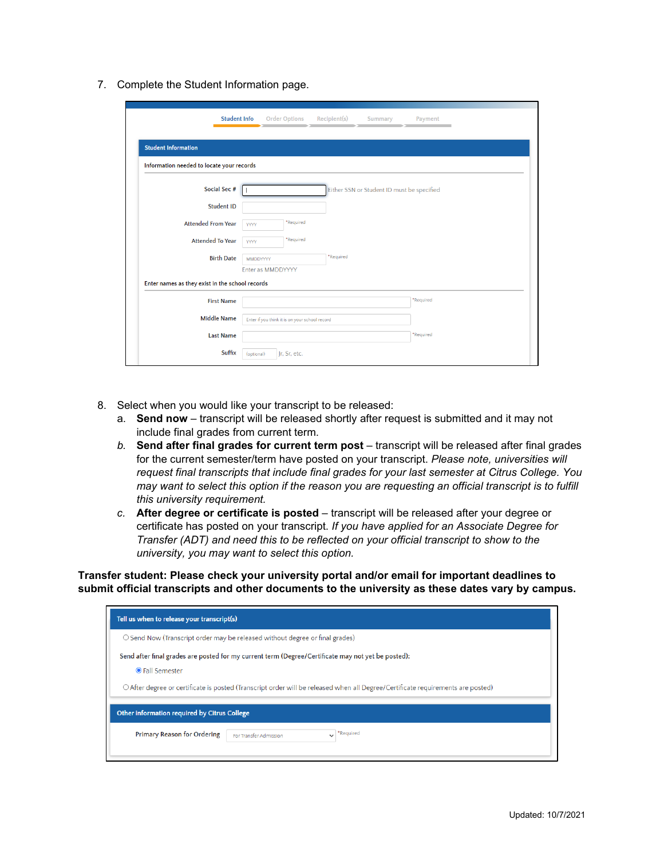7. Complete the Student Information page.

| <b>Student Info</b>                             | <b>Order Options</b><br>Recipient(s)<br>Payment<br>Summary |
|-------------------------------------------------|------------------------------------------------------------|
| <b>Student Information</b>                      |                                                            |
| Information needed to locate your records       |                                                            |
| Social Sec #                                    | Either SSN or Student ID must be specified                 |
| <b>Student ID</b>                               |                                                            |
| <b>Attended From Year</b>                       | *Required<br><b>YYYY</b>                                   |
| <b>Attended To Year</b>                         | *Required<br><b>YYYY</b>                                   |
| <b>Birth Date</b>                               | *Required<br>MMDDYYYY                                      |
|                                                 | Enter as MMDDYYYY                                          |
| Enter names as they exist in the school records |                                                            |
| <b>First Name</b>                               | *Required                                                  |
| <b>Middle Name</b>                              | Enter if you think it is on your school record             |
| <b>Last Name</b>                                | *Required                                                  |
| Suffix                                          | Jr, Sr, etc.<br>(optional)                                 |

- 8. Select when you would like your transcript to be released:
	- a. **Send now** transcript will be released shortly after request is submitted and it may not include final grades from current term.
	- *b.* **Send after final grades for current term post** transcript will be released after final grades for the current semester/term have posted on your transcript. *Please note, universities will request final transcripts that include final grades for your last semester at Citrus College. You may want to select this option if the reason you are requesting an official transcript is to fulfill this university requirement.*
	- c. **After degree or certificate is posted** transcript will be released after your degree or certificate has posted on your transcript. *If you have applied for an Associate Degree for Transfer (ADT) and need this to be reflected on your official transcript to show to the university, you may want to select this option.*

**Transfer student: Please check your university portal and/or email for important deadlines to submit official transcripts and other documents to the university as these dates vary by campus.**

| Tell us when to release your transcript(s)                                                                                                                                                                                                                     |
|----------------------------------------------------------------------------------------------------------------------------------------------------------------------------------------------------------------------------------------------------------------|
| $\circ$ Send Now (Transcript order may be released without degree or final grades)                                                                                                                                                                             |
| Send after final grades are posted for my current term (Degree/Certificate may not yet be posted):<br><b>OFall Semester</b><br>O After degree or certificate is posted (Transcript order will be released when all Degree/Certificate requirements are posted) |
| Other information required by Citrus College                                                                                                                                                                                                                   |
| *Required<br><b>Primary Reason for Ordering</b><br>For Transfer Admission                                                                                                                                                                                      |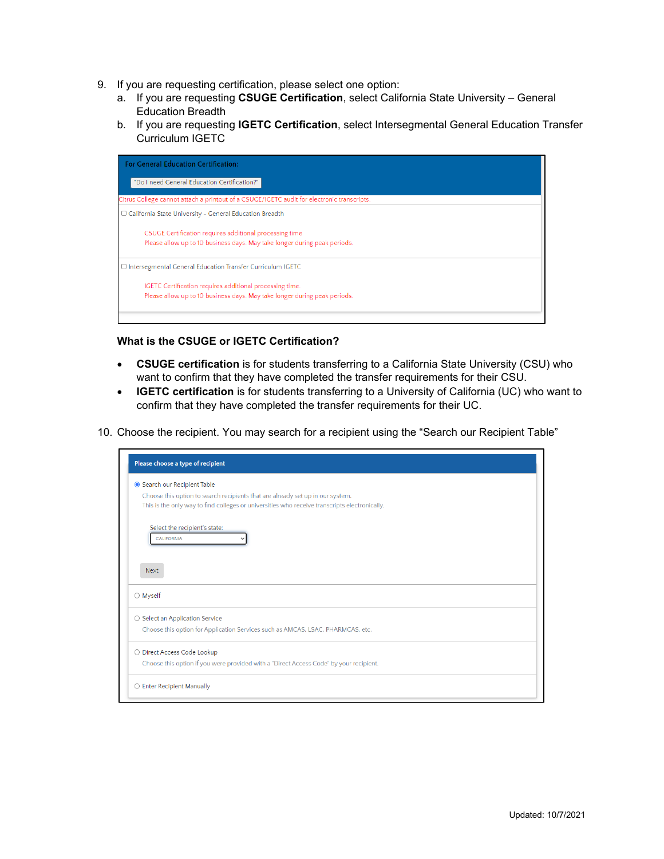- 9. If you are requesting certification, please select one option:
	- a. If you are requesting **CSUGE Certification**, select California State University General Education Breadth
	- b. If you are requesting **IGETC Certification**, select Intersegmental General Education Transfer Curriculum IGETC



## **What is the CSUGE or IGETC Certification?**

- **CSUGE certification** is for students transferring to a California State University (CSU) who want to confirm that they have completed the transfer requirements for their CSU.
- **IGETC certification** is for students transferring to a University of California (UC) who want to confirm that they have completed the transfer requirements for their UC.
- 10. Choose the recipient. You may search for a recipient using the "Search our Recipient Table"

| Please choose a type of recipient                                                             |  |
|-----------------------------------------------------------------------------------------------|--|
| Search our Recipient Table                                                                    |  |
| Choose this option to search recipients that are already set up in our system.                |  |
| This is the only way to find colleges or universities who receive transcripts electronically. |  |
| Select the recipient's state:                                                                 |  |
| <b>CALIFORNIA</b>                                                                             |  |
|                                                                                               |  |
| <b>Next</b>                                                                                   |  |
| ○ Myself                                                                                      |  |
| ○ Select an Application Service                                                               |  |
| Choose this option for Application Services such as AMCAS, LSAC, PHARMCAS, etc.               |  |
| O Direct Access Code Lookup                                                                   |  |
| Choose this option if you were provided with a "Direct Access Code" by your recipient.        |  |
| $\bigcirc$ Enter Recipient Manually                                                           |  |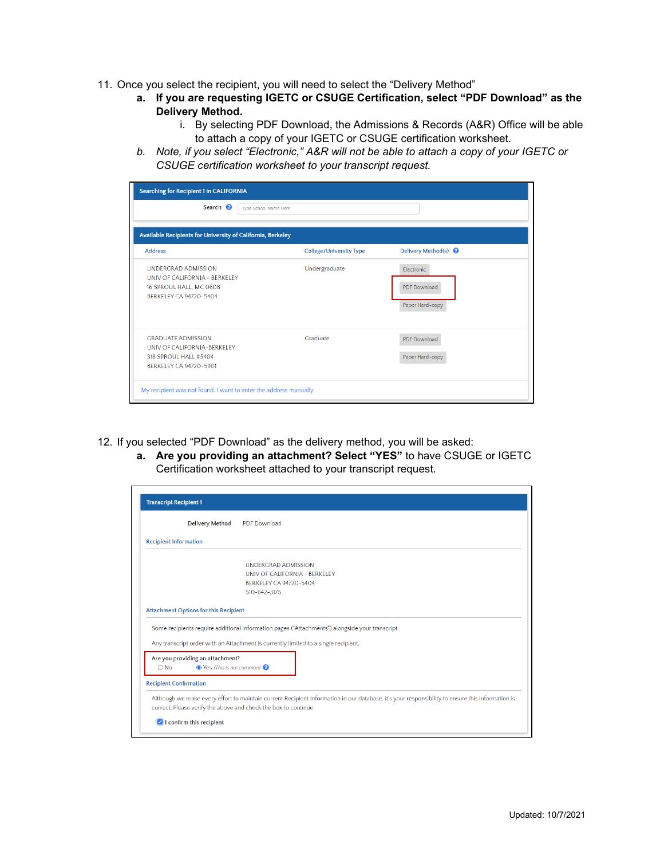- 11. Once you select the recipient, you will need to select the "Delivery Method"
	- **a. If you are requesting IGETC or CSUGE Certification, select "PDF Download" as the Delivery Method.**
		- i. By selecting PDF Download, the Admissions & Records (A&R) Office will be able to attach a copy of your IGETC or CSUGE certification worksheet.
	- *b. Note, if you select "Electronic," A&R will not be able to attach a copy of your IGETC or CSUGE certification worksheet to your transcript request.*

| <b>Searching for Recipient 1 in CALIFORNIA</b><br>Search <sup>2</sup><br><b>Type School Name Here</b>                   |                                |                                                      |
|-------------------------------------------------------------------------------------------------------------------------|--------------------------------|------------------------------------------------------|
| Available Recipients for University of California, Berkeley                                                             |                                |                                                      |
| <b>Address</b>                                                                                                          | <b>College/University Type</b> | Delivery Method(s) <sup>O</sup>                      |
| <b>UNDERGRAD ADMISSION</b><br>UNIV OF CALIFORNIA - BERKELEY<br>16 SPROUL HALL, MC 0608<br><b>BERKELEY CA 94720-5404</b> | Undergraduate                  | Electronic<br><b>PDF</b> Download<br>Paper Hard-copy |
| <b>GRADUATE ADMISSION</b><br>UNIV OF CALIFORNIA-BERKELEY<br>318 SPROUL HALL #5404<br><b>BERKELEY CA 94720-5901</b>      | Graduate                       | <b>PDF</b> Download<br>Paper Hard-copy               |

- 12. If you selected "PDF Download" as the delivery method, you will be asked:
	- **a. Are you providing an attachment? Select "YES"** to have CSUGE or IGETC Certification worksheet attached to your transcript request.

|                               | <b>Delivery Method</b>                                                           | <b>PDF</b> Download                                                                                                                                                                    |
|-------------------------------|----------------------------------------------------------------------------------|----------------------------------------------------------------------------------------------------------------------------------------------------------------------------------------|
| <b>Recipient Information</b>  |                                                                                  |                                                                                                                                                                                        |
|                               |                                                                                  | <b>UNDERGRAD ADMISSION</b>                                                                                                                                                             |
|                               |                                                                                  | UNIV OF CALIFORNIA - BERKELEY                                                                                                                                                          |
|                               |                                                                                  | <b>BERKELEY CA 94720-5404</b>                                                                                                                                                          |
|                               |                                                                                  | 510-642-3175                                                                                                                                                                           |
|                               | <b>Attachment Options for this Recipient</b>                                     |                                                                                                                                                                                        |
|                               |                                                                                  | Some recipients require additional information pages ("Attachments") alongside your transcript.<br>Any transcript order with an Attachment is currently limited to a single recipient. |
| $\bigcirc$ No                 | Are you providing an attachment?<br>$\bullet$ Yes (This is not common) $\bullet$ |                                                                                                                                                                                        |
| <b>Recipient Confirmation</b> |                                                                                  |                                                                                                                                                                                        |